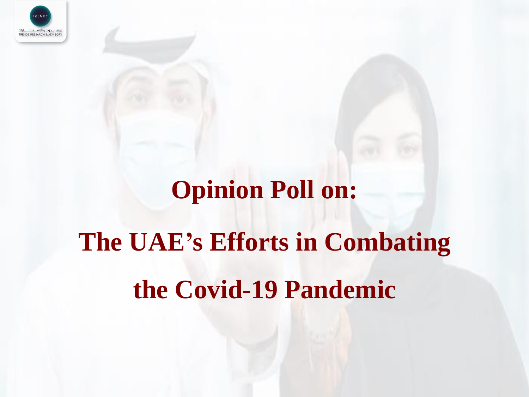

# **Opinion Poll on: The UAE's Efforts in Combating the Covid-19 Pandemic**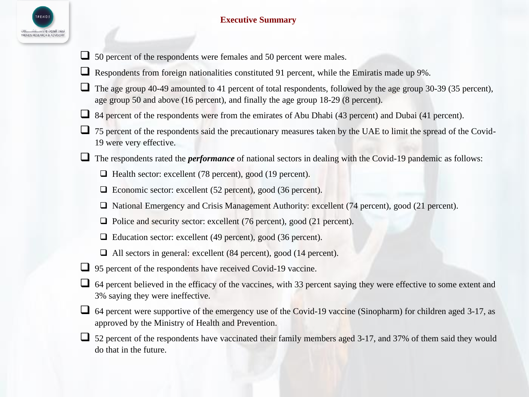

### **Executive Summary**

- □ 50 percent of the respondents were females and 50 percent were males.
- $\Box$  Respondents from foreign nationalities constituted 91 percent, while the Emiratis made up 9%.
- The age group 40-49 amounted to 41 percent of total respondents, followed by the age group 30-39 (35 percent), age group 50 and above (16 percent), and finally the age group 18-29 (8 percent).
- 84 percent of the respondents were from the emirates of Abu Dhabi (43 percent) and Dubai (41 percent).
- □ 75 percent of the respondents said the precautionary measures taken by the UAE to limit the spread of the Covid-19 were very effective.
- □ The respondents rated the *performance* of national sectors in dealing with the Covid-19 pandemic as follows:
	- ❑ Health sector: excellent (78 percent), good (19 percent).
	- □ Economic sector: excellent (52 percent), good (36 percent).
	- ❑ National Emergency and Crisis Management Authority: excellent (74 percent), good (21 percent).
	- □ Police and security sector: excellent (76 percent), good (21 percent).
	- ❑ Education sector: excellent (49 percent), good (36 percent).
	- ❑ All sectors in general: excellent (84 percent), good (14 percent).
- □ 95 percent of the respondents have received Covid-19 vaccine.
- ❑ 64 percent believed in the efficacy of the vaccines, with 33 percent saying they were effective to some extent and 3% saying they were ineffective.
- ❑ 64 percent were supportive of the emergency use of the Covid-19 vaccine (Sinopharm) for children aged 3-17, as approved by the Ministry of Health and Prevention.
- ❑ 52 percent of the respondents have vaccinated their family members aged 3-17, and 37% of them said they would do that in the future.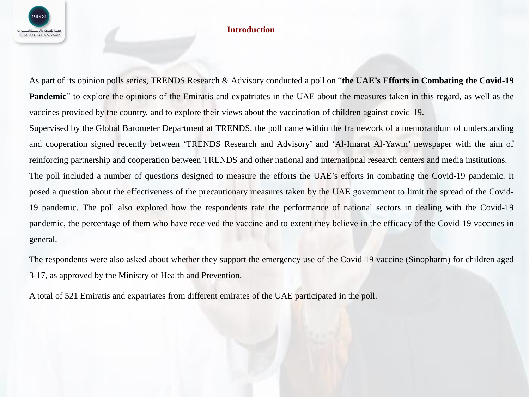

#### **Introduction**

As part of its opinion polls series, TRENDS Research & Advisory conducted a poll on "**the UAE's Efforts in Combating the Covid-19 Pandemic**" to explore the opinions of the Emiratis and expatriates in the UAE about the measures taken in this regard, as well as the vaccines provided by the country, and to explore their views about the vaccination of children against covid-19.

Supervised by the Global Barometer Department at TRENDS, the poll came within the framework of a memorandum of understanding and cooperation signed recently between 'TRENDS Research and Advisory' and 'Al-Imarat Al-Yawm' newspaper with the aim of reinforcing partnership and cooperation between TRENDS and other national and international research centers and media institutions. The poll included a number of questions designed to measure the efforts the UAE's efforts in combating the Covid-19 pandemic. It posed a question about the effectiveness of the precautionary measures taken by the UAE government to limit the spread of the Covid-19 pandemic. The poll also explored how the respondents rate the performance of national sectors in dealing with the Covid-19 pandemic, the percentage of them who have received the vaccine and to extent they believe in the efficacy of the Covid-19 vaccines in general.

The respondents were also asked about whether they support the emergency use of the Covid-19 vaccine (Sinopharm) for children aged 3-17, as approved by the Ministry of Health and Prevention.

A total of 521 Emiratis and expatriates from different emirates of the UAE participated in the poll.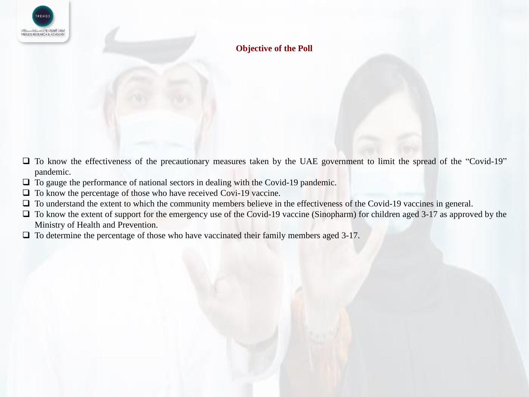

## **Objective of the Poll**

- ❑ To know the effectiveness of the precautionary measures taken by the UAE government to limit the spread of the "Covid-19" pandemic.
- □ To gauge the performance of national sectors in dealing with the Covid-19 pandemic.
- □ To know the percentage of those who have received Covi-19 vaccine.
- ❑ To understand the extent to which the community members believe in the effectiveness of the Covid-19 vaccines in general.
- □ To know the extent of support for the emergency use of the Covid-19 vaccine (Sinopharm) for children aged 3-17 as approved by the Ministry of Health and Prevention.
- □ To determine the percentage of those who have vaccinated their family members aged 3-17.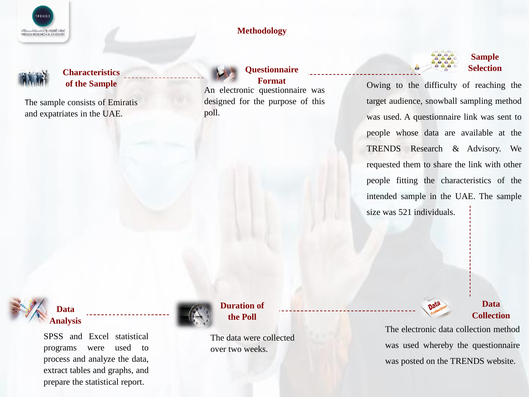

#### **Methodology**



#### **Characteristics of the Sample**

The sample consists of Emiratis and expatriates in the UAE.



#### **Questionnaire Format**

An electronic questionnaire was designed for the purpose of this poll.



Owing to the difficulty of reaching the target audience, snowball sampling method was used. A questionnaire link was sent to people whose data are available at the TRENDS Research & Advisory. We requested them to share the link with other people fitting the characteristics of the intended sample in the UAE. The sample size was 521 individuals.



## **Data Analysis**

SPSS and Excel statistical programs were used to process and analyze the data, extract tables and graphs, and prepare the statistical report.



**Duration of the Poll**

The data were collected over two weeks.

## **Data Collection**

The electronic data collection method was used whereby the questionnaire was posted on the TRENDS website.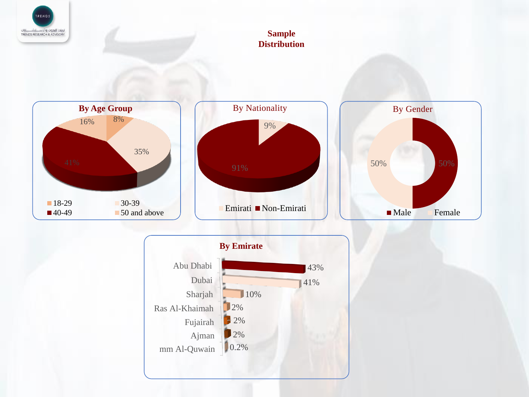

## **Sample Distribution**



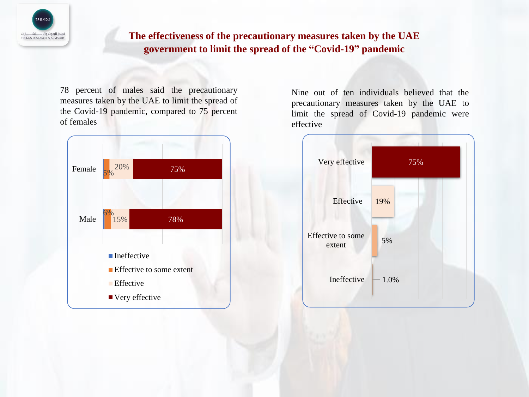

# **The effectiveness of the precautionary measures taken by the UAE government to limit the spread of the "Covid-19" pandemic**

78 percent of males said the precautionary measures taken by the UAE to limit the spread of the Covid-19 pandemic, compared to 75 percent of females



Nine out of ten individuals believed that the precautionary measures taken by the UAE to limit the spread of Covid-19 pandemic were effective

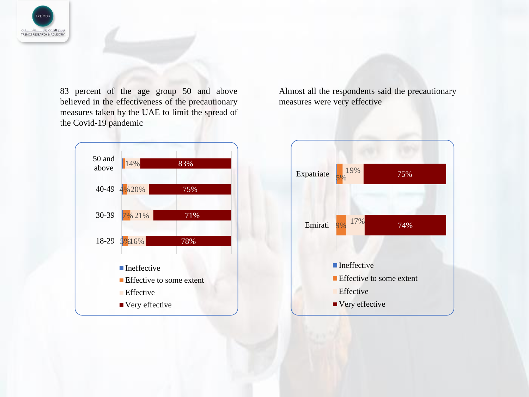

83 percent of the age group 50 and above believed in the effectiveness of the precautionary measures taken by the UAE to limit the spread of the Covid-19 pandemic

Almost all the respondents said the precautionary measures were very effective



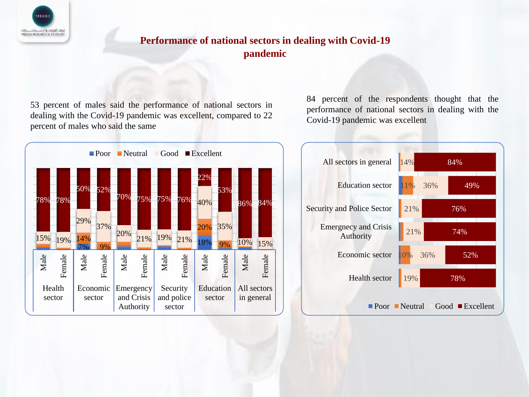

# **Performance of national sectors in dealing with Covid-19 pandemic**

53 percent of males said the performance of national sectors in dealing with the Covid-19 pandemic was excellent, compared to 22 percent of males who said the same



84 percent of the respondents thought that the performance of national sectors in dealing with the Covid-19 pandemic was excellent

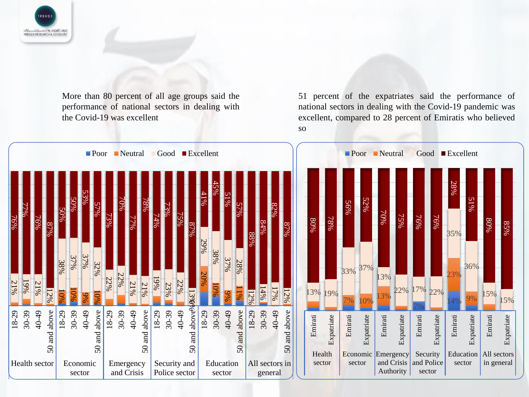

More than 80 percent of all age groups said the performance of national sectors in dealing with the Covid-19 was excellent

51 percent of the expatriates said the performance of national sectors in dealing with the Covid-19 pandemic was excellent, compared to 28 percent of Emiratis who believed so

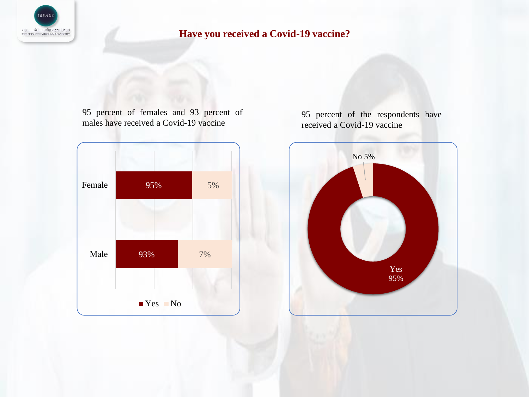

# **Have you received a Covid-19 vaccine?**

95 percent of females and 93 percent of males have received a Covid-19 vaccine





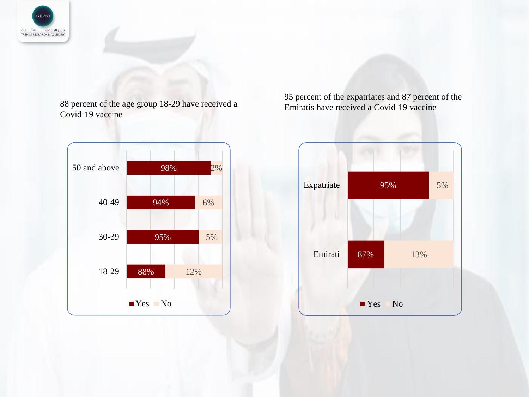

88 percent of the age group 18-29 have received a Covid-19 vaccine



95 percent of the expatriates and 87 percent of the Emiratis have received a Covid-19 vaccine

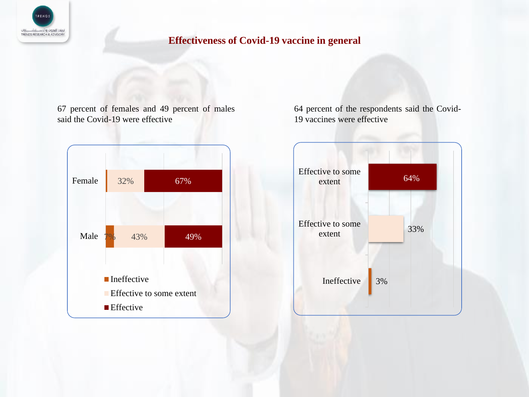

## **Effectiveness of Covid-19 vaccine in general**

67 percent of females and 49 percent of males said the Covid-19 were effective



64 percent of the respondents said the Covid-19 vaccines were effective

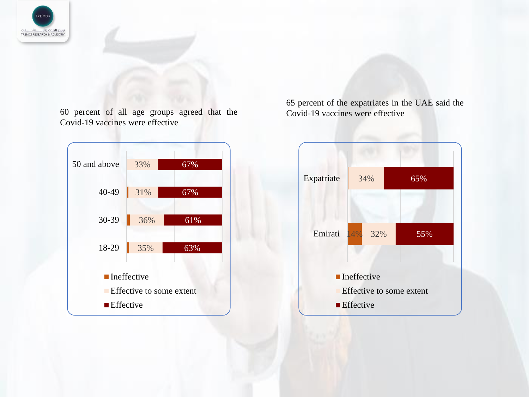

60 percent of all age groups agreed that the Covid-19 vaccines were effective



65 percent of the expatriates in the UAE said the Covid-19 vaccines were effective

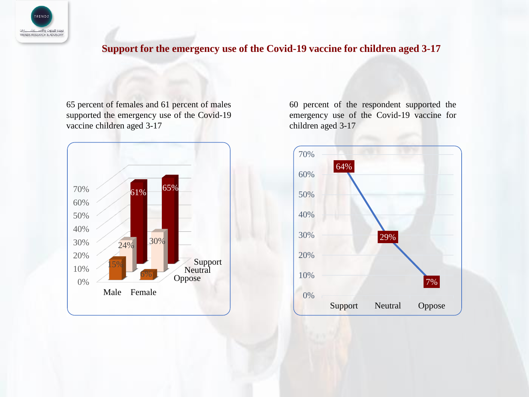

# **Support for the emergency use of the Covid-19 vaccine for children aged 3-17**

65 percent of females and 61 percent of males supported the emergency use of the Covid-19 vaccine children aged 3-17



60 percent of the respondent supported the emergency use of the Covid-19 vaccine for children aged 3-17

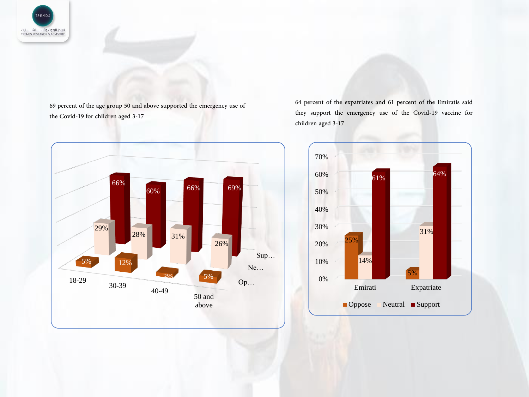

69 percent of the age group 50 and above supported the emergency use of the Covid-19 for children aged 3-17



64 percent of the expatriates and 61 percent of the Emiratis said they support the emergency use of the Covid-19 vaccine for children aged 3-17

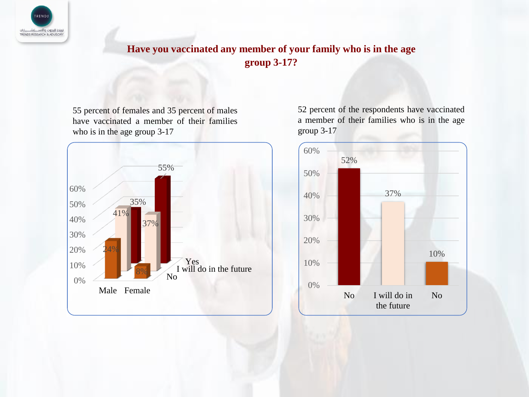

# **Have you vaccinated any member of your family who is in the age group 3-17?**

55 percent of females and 35 percent of males have vaccinated a member of their families who is in the age group 3-17



52 percent of the respondents have vaccinated a member of their families who is in the age group 3-17